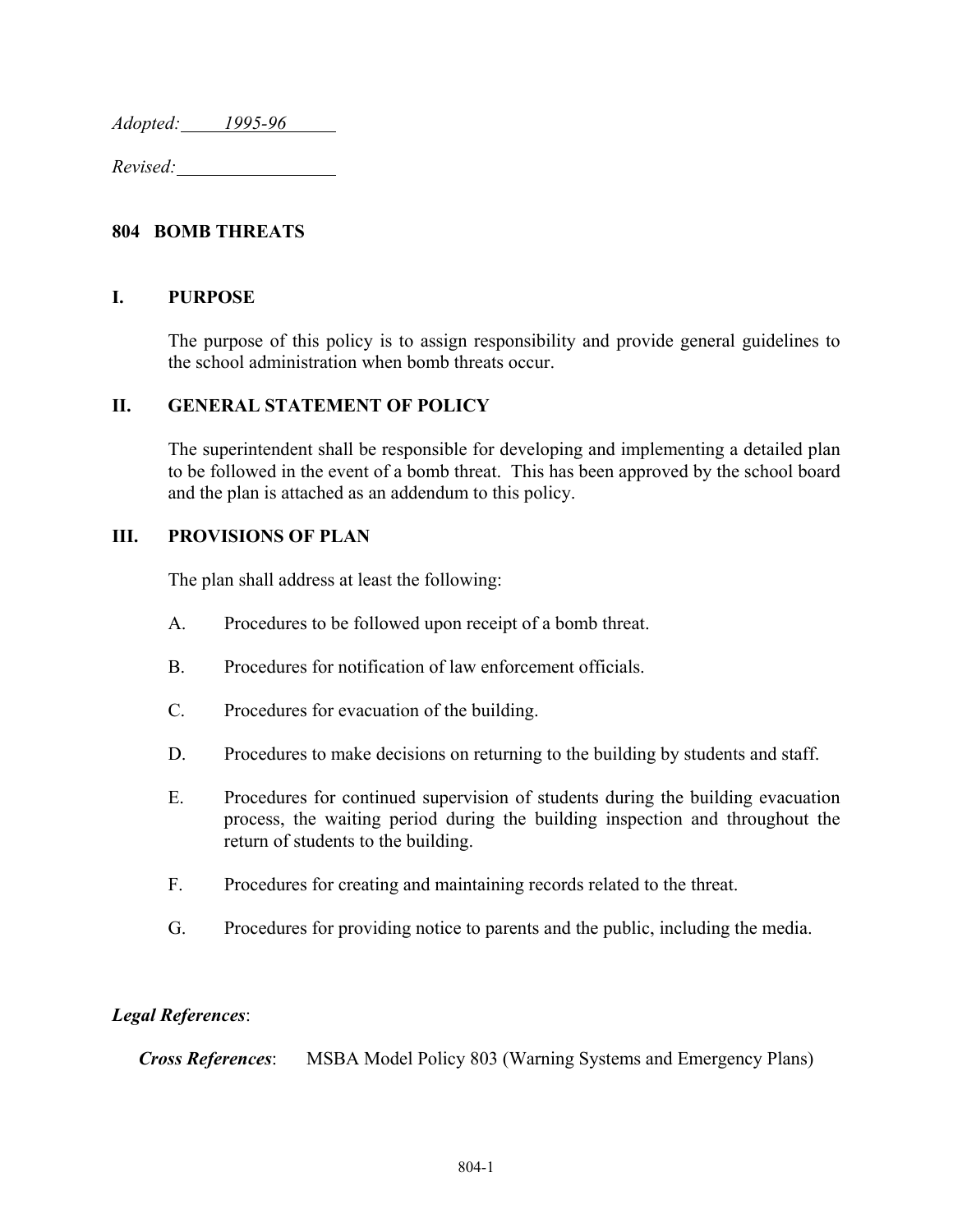*Adopted: 1995-96* 

*Revised:* 

### **804 BOMB THREATS**

#### **I. PURPOSE**

The purpose of this policy is to assign responsibility and provide general guidelines to the school administration when bomb threats occur.

#### **II. GENERAL STATEMENT OF POLICY**

The superintendent shall be responsible for developing and implementing a detailed plan to be followed in the event of a bomb threat. This has been approved by the school board and the plan is attached as an addendum to this policy.

#### **III. PROVISIONS OF PLAN**

The plan shall address at least the following:

- A. Procedures to be followed upon receipt of a bomb threat.
- B. Procedures for notification of law enforcement officials.
- C. Procedures for evacuation of the building.
- D. Procedures to make decisions on returning to the building by students and staff.
- E. Procedures for continued supervision of students during the building evacuation process, the waiting period during the building inspection and throughout the return of students to the building.
- F. Procedures for creating and maintaining records related to the threat.
- G. Procedures for providing notice to parents and the public, including the media.

#### *Legal References*:

*Cross References*: MSBA Model Policy 803 (Warning Systems and Emergency Plans)